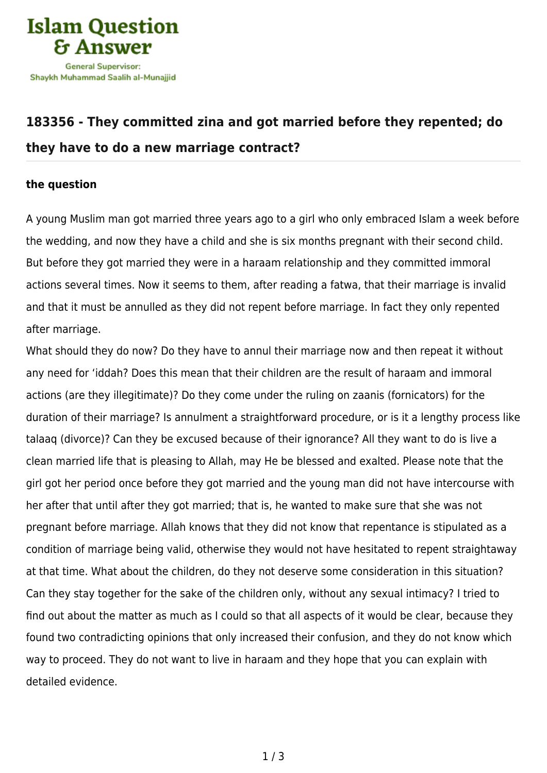

## **[183356 - They committed zina and got married before they repented; do](https://islamqa.com/en/answers/183356/they-committed-zina-and-got-married-before-they-repented-do-they-have-to-do-a-new-marriage-contract) [they have to do a new marriage contract?](https://islamqa.com/en/answers/183356/they-committed-zina-and-got-married-before-they-repented-do-they-have-to-do-a-new-marriage-contract)**

## **the question**

A young Muslim man got married three years ago to a girl who only embraced Islam a week before the wedding, and now they have a child and she is six months pregnant with their second child. But before they got married they were in a haraam relationship and they committed immoral actions several times. Now it seems to them, after reading a fatwa, that their marriage is invalid and that it must be annulled as they did not repent before marriage. In fact they only repented after marriage.

What should they do now? Do they have to annul their marriage now and then repeat it without any need for 'iddah? Does this mean that their children are the result of haraam and immoral actions (are they illegitimate)? Do they come under the ruling on zaanis (fornicators) for the duration of their marriage? Is annulment a straightforward procedure, or is it a lengthy process like talaaq (divorce)? Can they be excused because of their ignorance? All they want to do is live a clean married life that is pleasing to Allah, may He be blessed and exalted. Please note that the girl got her period once before they got married and the young man did not have intercourse with her after that until after they got married; that is, he wanted to make sure that she was not pregnant before marriage. Allah knows that they did not know that repentance is stipulated as a condition of marriage being valid, otherwise they would not have hesitated to repent straightaway at that time. What about the children, do they not deserve some consideration in this situation? Can they stay together for the sake of the children only, without any sexual intimacy? I tried to find out about the matter as much as I could so that all aspects of it would be clear, because they found two contradicting opinions that only increased their confusion, and they do not know which way to proceed. They do not want to live in haraam and they hope that you can explain with detailed evidence.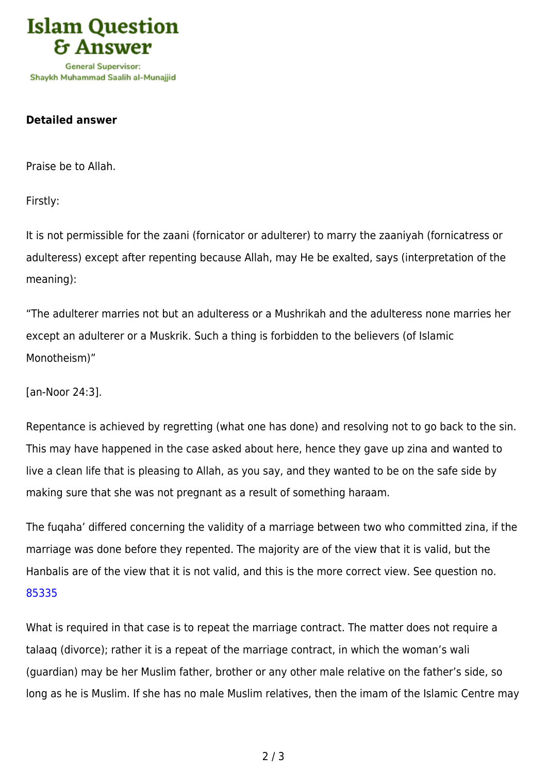

Shavkh Muhammad Saalih al-Munaiiid

## **Detailed answer**

Praise be to Allah.

Firstly:

It is not permissible for the zaani (fornicator or adulterer) to marry the zaaniyah (fornicatress or adulteress) except after repenting because Allah, may He be exalted, says (interpretation of the meaning):

"The adulterer marries not but an adulteress or a Mushrikah and the adulteress none marries her except an adulterer or a Muskrik. Such a thing is forbidden to the believers (of Islamic Monotheism)"

[an-Noor 24:3].

Repentance is achieved by regretting (what one has done) and resolving not to go back to the sin. This may have happened in the case asked about here, hence they gave up zina and wanted to live a clean life that is pleasing to Allah, as you say, and they wanted to be on the safe side by making sure that she was not pregnant as a result of something haraam.

The fuqaha' differed concerning the validity of a marriage between two who committed zina, if the marriage was done before they repented. The majority are of the view that it is valid, but the Hanbalis are of the view that it is not valid, and this is the more correct view. See question no. [85335](https://islamqa.com/en/answers/85335)

What is required in that case is to repeat the marriage contract. The matter does not require a talaaq (divorce); rather it is a repeat of the marriage contract, in which the woman's wali (guardian) may be her Muslim father, brother or any other male relative on the father's side, so long as he is Muslim. If she has no male Muslim relatives, then the imam of the Islamic Centre may